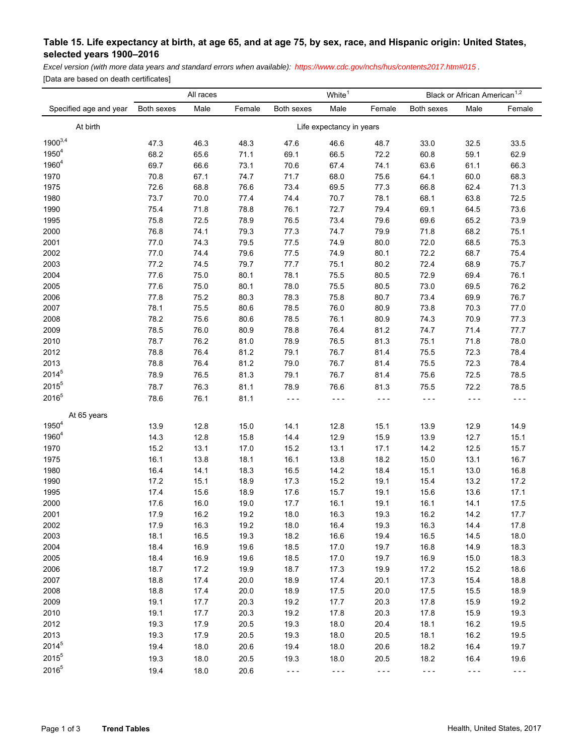## **Table 15. Life expectancy at birth, at age 65, and at age 75, by sex, race, and Hispanic origin: United States, selected years 1900–2016**

*Excel version (with more data years and standard errors when available): <https://www.cdc.gov/nchs/hus/contents2017.htm#015>.* 

[Data are based on death certificates]

|                        | White <sup>1</sup><br>All races |      |        |            |         | Black or African American <sup>1,2</sup> |            |         |         |
|------------------------|---------------------------------|------|--------|------------|---------|------------------------------------------|------------|---------|---------|
| Specified age and year | Both sexes                      | Male | Female | Both sexes | Male    | Female                                   | Both sexes | Male    | Female  |
| At birth               | Life expectancy in years        |      |        |            |         |                                          |            |         |         |
| $1900^{3,4}$           | 47.3                            | 46.3 | 48.3   | 47.6       | 46.6    | 48.7                                     | 33.0       | 32.5    | 33.5    |
| $1950^{4}$             | 68.2                            | 65.6 | 71.1   | 69.1       | 66.5    | 72.2                                     | 60.8       | 59.1    | 62.9    |
| 1960 <sup>4</sup>      | 69.7                            | 66.6 | 73.1   | 70.6       | 67.4    | 74.1                                     | 63.6       | 61.1    | 66.3    |
| 1970                   | 70.8                            | 67.1 | 74.7   | 71.7       | 68.0    | 75.6                                     | 64.1       | 60.0    | 68.3    |
| 1975                   | 72.6                            | 68.8 | 76.6   | 73.4       | 69.5    | 77.3                                     | 66.8       | 62.4    | 71.3    |
| 1980                   | 73.7                            | 70.0 | 77.4   | 74.4       | 70.7    | 78.1                                     | 68.1       | 63.8    | 72.5    |
| 1990                   | 75.4                            | 71.8 | 78.8   | 76.1       | 72.7    | 79.4                                     | 69.1       | 64.5    | 73.6    |
| 1995                   | 75.8                            | 72.5 | 78.9   | 76.5       | 73.4    | 79.6                                     | 69.6       | 65.2    | 73.9    |
| 2000                   | 76.8                            | 74.1 | 79.3   | 77.3       | 74.7    | 79.9                                     | 71.8       | 68.2    | 75.1    |
| 2001                   | 77.0                            | 74.3 | 79.5   | 77.5       | 74.9    | 80.0                                     | 72.0       | 68.5    | 75.3    |
| 2002                   | $77.0\,$                        | 74.4 | 79.6   | $77.5\,$   | 74.9    | 80.1                                     | 72.2       | 68.7    | 75.4    |
| 2003                   | $77.2\,$                        | 74.5 | 79.7   | 77.7       | 75.1    | 80.2                                     | 72.4       | 68.9    | 75.7    |
| 2004                   | 77.6                            | 75.0 | 80.1   | 78.1       | 75.5    | 80.5                                     | 72.9       | 69.4    | 76.1    |
| 2005                   | 77.6                            | 75.0 | 80.1   | 78.0       | 75.5    | 80.5                                     | 73.0       | 69.5    | 76.2    |
| 2006                   | 77.8                            | 75.2 | 80.3   | 78.3       | 75.8    | 80.7                                     | 73.4       | 69.9    | 76.7    |
| 2007                   | 78.1                            | 75.5 | 80.6   | 78.5       | 76.0    | 80.9                                     | 73.8       | 70.3    | 77.0    |
| 2008                   | 78.2                            | 75.6 | 80.6   | 78.5       | 76.1    | 80.9                                     | 74.3       | 70.9    | 77.3    |
| 2009                   | 78.5                            | 76.0 | 80.9   | 78.8       | 76.4    | 81.2                                     | 74.7       | 71.4    | 77.7    |
| 2010                   | 78.7                            | 76.2 | 81.0   | 78.9       | 76.5    | 81.3                                     | 75.1       | 71.8    | 78.0    |
| 2012                   | 78.8                            | 76.4 | 81.2   | 79.1       | 76.7    | 81.4                                     | 75.5       | 72.3    | 78.4    |
| 2013                   | 78.8                            | 76.4 | 81.2   | 79.0       | 76.7    | 81.4                                     | 75.5       | 72.3    | 78.4    |
| 2014 <sup>5</sup>      | 78.9                            | 76.5 | 81.3   | 79.1       | 76.7    | 81.4                                     | 75.6       | 72.5    | 78.5    |
| $2015^5$               | 78.7                            | 76.3 | 81.1   | 78.9       | 76.6    | 81.3                                     | 75.5       | 72.2    | 78.5    |
| $2016^{5}$             | 78.6                            | 76.1 | 81.1   | $- - -$    | $- - -$ | $- - -$                                  | $- - -$    | $- - -$ | $- - -$ |
| At 65 years            |                                 |      |        |            |         |                                          |            |         |         |
| $1950^{4}$             | 13.9                            | 12.8 | 15.0   | 14.1       | 12.8    | 15.1                                     | 13.9       | 12.9    | 14.9    |
| $1960^{4}$             | 14.3                            | 12.8 | 15.8   | 14.4       | 12.9    | 15.9                                     | 13.9       | 12.7    | 15.1    |
| 1970                   | 15.2                            | 13.1 | 17.0   | 15.2       | 13.1    | 17.1                                     | 14.2       | 12.5    | 15.7    |
| 1975                   | 16.1                            | 13.8 | 18.1   | 16.1       | 13.8    | 18.2                                     | 15.0       | 13.1    | 16.7    |
| 1980                   | 16.4                            | 14.1 | 18.3   | 16.5       | 14.2    | 18.4                                     | 15.1       | 13.0    | 16.8    |
| 1990                   | 17.2                            | 15.1 | 18.9   | 17.3       | 15.2    | 19.1                                     | 15.4       | 13.2    | 17.2    |
| 1995                   | 17.4                            | 15.6 | 18.9   | 17.6       | 15.7    | 19.1                                     | 15.6       | 13.6    | 17.1    |
| 2000                   | 17.6                            | 16.0 | 19.0   | 17.7       | 16.1    | 19.1                                     | 16.1       | 14.1    | 17.5    |
| 2001                   | 17.9                            | 16.2 | 19.2   | 18.0       | 16.3    | 19.3                                     | 16.2       | 14.2    | 17.7    |
| 2002                   | 17.9                            | 16.3 | 19.2   | 18.0       | 16.4    | 19.3                                     | 16.3       | 14.4    | 17.8    |
| 2003                   | 18.1                            | 16.5 | 19.3   | 18.2       | 16.6    | 19.4                                     | 16.5       | 14.5    | 18.0    |
| 2004                   | 18.4                            | 16.9 | 19.6   | 18.5       | 17.0    | 19.7                                     | 16.8       | 14.9    | 18.3    |
| 2005                   | 18.4                            | 16.9 | 19.6   | 18.5       | 17.0    | 19.7                                     | 16.9       | 15.0    | 18.3    |
| 2006                   | 18.7                            | 17.2 | 19.9   | 18.7       | 17.3    | 19.9                                     | 17.2       | 15.2    | 18.6    |
| 2007                   | 18.8                            | 17.4 | 20.0   | 18.9       | 17.4    | 20.1                                     | 17.3       | 15.4    | 18.8    |
| 2008                   | 18.8                            | 17.4 | 20.0   | 18.9       | 17.5    | 20.0                                     | 17.5       | 15.5    | 18.9    |
| 2009                   | 19.1                            | 17.7 | 20.3   | 19.2       | 17.7    | 20.3                                     | 17.8       | 15.9    | 19.2    |
| 2010                   | 19.1                            | 17.7 | 20.3   | 19.2       | 17.8    | 20.3                                     | 17.8       | 15.9    | 19.3    |
| 2012                   | 19.3                            | 17.9 | 20.5   | 19.3       | 18.0    | 20.4                                     | 18.1       | 16.2    | 19.5    |
| 2013                   | 19.3                            | 17.9 | 20.5   | 19.3       | 18.0    | 20.5                                     | 18.1       | 16.2    | 19.5    |
| $2014^{5}$             | 19.4                            | 18.0 | 20.6   | 19.4       | 18.0    | 20.6                                     | 18.2       | 16.4    | 19.7    |
| 2015 <sup>5</sup>      | 19.3                            | 18.0 | 20.5   | 19.3       | 18.0    | 20.5                                     | 18.2       | 16.4    | 19.6    |
| 20165                  | 19.4                            | 18.0 | 20.6   | $- - -$    | .       | $- - -$                                  | $- - -$    | $- - -$ | $- - -$ |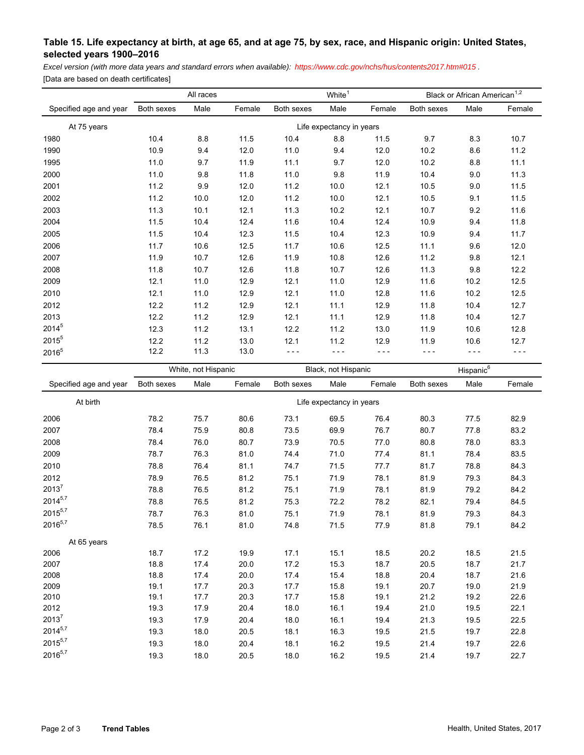## **Table 15. Life expectancy at birth, at age 65, and at age 75, by sex, race, and Hispanic origin: United States, selected years 1900–2016**

*Excel version (with more data years and standard errors when available): <https://www.cdc.gov/nchs/hus/contents2017.htm#015>.* 

[Data are based on death certificates]

|                        | All races                |      |        | White <sup>1</sup> |      |        | Black or African American <sup>1,2</sup> |      |        |
|------------------------|--------------------------|------|--------|--------------------|------|--------|------------------------------------------|------|--------|
| Specified age and year | Both sexes               | Male | Female | Both sexes         | Male | Female | Both sexes                               | Male | Female |
| At 75 years            | Life expectancy in years |      |        |                    |      |        |                                          |      |        |
| 1980                   | 10.4                     | 8.8  | 11.5   | 10.4               | 8.8  | 11.5   | 9.7                                      | 8.3  | 10.7   |
| 1990                   | 10.9                     | 9.4  | 12.0   | 11.0               | 9.4  | 12.0   | 10.2                                     | 8.6  | 11.2   |
| 1995                   | 11.0                     | 9.7  | 11.9   | 11.1               | 9.7  | 12.0   | 10.2                                     | 8.8  | 11.1   |
| 2000                   | 11.0                     | 9.8  | 11.8   | 11.0               | 9.8  | 11.9   | 10.4                                     | 9.0  | 11.3   |
| 2001                   | 11.2                     | 9.9  | 12.0   | 11.2               | 10.0 | 12.1   | 10.5                                     | 9.0  | 11.5   |
| 2002                   | 11.2                     | 10.0 | 12.0   | 11.2               | 10.0 | 12.1   | 10.5                                     | 9.1  | 11.5   |
| 2003                   | 11.3                     | 10.1 | 12.1   | 11.3               | 10.2 | 12.1   | 10.7                                     | 9.2  | 11.6   |
| 2004                   | 11.5                     | 10.4 | 12.4   | 11.6               | 10.4 | 12.4   | 10.9                                     | 9.4  | 11.8   |
| 2005                   | 11.5                     | 10.4 | 12.3   | 11.5               | 10.4 | 12.3   | 10.9                                     | 9.4  | 11.7   |
| 2006                   | 11.7                     | 10.6 | 12.5   | 11.7               | 10.6 | 12.5   | 11.1                                     | 9.6  | 12.0   |
| 2007                   | 11.9                     | 10.7 | 12.6   | 11.9               | 10.8 | 12.6   | 11.2                                     | 9.8  | 12.1   |
| 2008                   | 11.8                     | 10.7 | 12.6   | 11.8               | 10.7 | 12.6   | 11.3                                     | 9.8  | 12.2   |
| 2009                   | 12.1                     | 11.0 | 12.9   | 12.1               | 11.0 | 12.9   | 11.6                                     | 10.2 | 12.5   |
| 2010                   | 12.1                     | 11.0 | 12.9   | 12.1               | 11.0 | 12.8   | 11.6                                     | 10.2 | 12.5   |
| 2012                   | 12.2                     | 11.2 | 12.9   | 12.1               | 11.1 | 12.9   | 11.8                                     | 10.4 | 12.7   |
| 2013                   | 12.2                     | 11.2 | 12.9   | 12.1               | 11.1 | 12.9   | 11.8                                     | 10.4 | 12.7   |
| $2014^{5}$             | 12.3                     | 11.2 | 13.1   | 12.2               | 11.2 | 13.0   | 11.9                                     | 10.6 | 12.8   |
| 2015 <sup>5</sup>      | 12.2                     | 11.2 | 13.0   | 12.1               | 11.2 | 12.9   | 11.9                                     | 10.6 | 12.7   |
| $2016^{5}$             | 12.2                     | 11.3 | 13.0   | - - -              |      |        |                                          |      | ---    |

| Specified age and year | White, not Hispanic      |      |        | Black, not Hispanic |      |        | Hispanic <sup>6</sup> |      |        |
|------------------------|--------------------------|------|--------|---------------------|------|--------|-----------------------|------|--------|
|                        | Both sexes               | Male | Female | Both sexes          | Male | Female | Both sexes            | Male | Female |
| At birth               | Life expectancy in years |      |        |                     |      |        |                       |      |        |
| 2006                   | 78.2                     | 75.7 | 80.6   | 73.1                | 69.5 | 76.4   | 80.3                  | 77.5 | 82.9   |
| 2007                   | 78.4                     | 75.9 | 80.8   | 73.5                | 69.9 | 76.7   | 80.7                  | 77.8 | 83.2   |
| 2008                   | 78.4                     | 76.0 | 80.7   | 73.9                | 70.5 | 77.0   | 80.8                  | 78.0 | 83.3   |
| 2009                   | 78.7                     | 76.3 | 81.0   | 74.4                | 71.0 | 77.4   | 81.1                  | 78.4 | 83.5   |
| 2010                   | 78.8                     | 76.4 | 81.1   | 74.7                | 71.5 | 77.7   | 81.7                  | 78.8 | 84.3   |
| 2012                   | 78.9                     | 76.5 | 81.2   | 75.1                | 71.9 | 78.1   | 81.9                  | 79.3 | 84.3   |
| $2013^7$               | 78.8                     | 76.5 | 81.2   | 75.1                | 71.9 | 78.1   | 81.9                  | 79.2 | 84.2   |
| $2014^{5,7}$           | 78.8                     | 76.5 | 81.2   | 75.3                | 72.2 | 78.2   | 82.1                  | 79.4 | 84.5   |
| $2015^{5,7}$           | 78.7                     | 76.3 | 81.0   | 75.1                | 71.9 | 78.1   | 81.9                  | 79.3 | 84.3   |
| $2016^{5,7}$           | 78.5                     | 76.1 | 81.0   | 74.8                | 71.5 | 77.9   | 81.8                  | 79.1 | 84.2   |
| At 65 years            |                          |      |        |                     |      |        |                       |      |        |
| 2006                   | 18.7                     | 17.2 | 19.9   | 17.1                | 15.1 | 18.5   | 20.2                  | 18.5 | 21.5   |
| 2007                   | 18.8                     | 17.4 | 20.0   | 17.2                | 15.3 | 18.7   | 20.5                  | 18.7 | 21.7   |
| 2008                   | 18.8                     | 17.4 | 20.0   | 17.4                | 15.4 | 18.8   | 20.4                  | 18.7 | 21.6   |
| 2009                   | 19.1                     | 17.7 | 20.3   | 17.7                | 15.8 | 19.1   | 20.7                  | 19.0 | 21.9   |
| 2010                   | 19.1                     | 17.7 | 20.3   | 17.7                | 15.8 | 19.1   | 21.2                  | 19.2 | 22.6   |
| 2012                   | 19.3                     | 17.9 | 20.4   | 18.0                | 16.1 | 19.4   | 21.0                  | 19.5 | 22.1   |
| $2013^7$               | 19.3                     | 17.9 | 20.4   | 18.0                | 16.1 | 19.4   | 21.3                  | 19.5 | 22.5   |
| $2014^{5,7}$           | 19.3                     | 18.0 | 20.5   | 18.1                | 16.3 | 19.5   | 21.5                  | 19.7 | 22.8   |
| $2015^{5,7}$           | 19.3                     | 18.0 | 20.4   | 18.1                | 16.2 | 19.5   | 21.4                  | 19.7 | 22.6   |
| $2016^{5,7}$           | 19.3                     | 18.0 | 20.5   | 18.0                | 16.2 | 19.5   | 21.4                  | 19.7 | 22.7   |